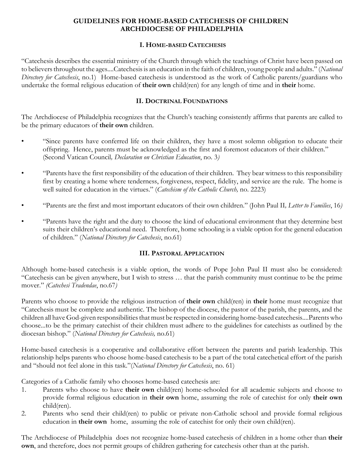### **GUIDELINES FOR HOME-BASED CATECHESIS OF CHILDREN ARCHDIOCESE OF PHILADELPHIA**

#### **I. HOME-BASED CATECHESIS**

"Catechesis describes the essential ministry of the Church through which the teachings of Christ have been passed on to believers throughout the ages....Catechesis is an education in the faith of children, young people and adults." (*National Directory for Catechesis*, no.1) Home-based catechesis is understood as the work of Catholic parents/guardians who undertake the formal religious education of **their own** child(ren) for any length of time and in **their** home.

#### **II. DOCTRINAL FOUNDATIONS**

The Archdiocese of Philadelphia recognizes that the Church's teaching consistently affirms that parents are called to be the primary educators of **their own** children.

- "Since parents have conferred life on their children, they have a most solemn obligation to educate their offspring. Hence, parents must be acknowledged as the first and foremost educators of their children." (Second Vatican Council*, Declaration on Christian Education*, no. 3*)*
- "Parents have the first responsibility of the education of their children. They bear witness to this responsibility first by creating a home where tenderness, forgiveness, respect, fidelity, and service are the rule. The home is well suited for education in the virtues." (*Catechism of the Catholic Church,* no. 2223)
- "Parents are the first and most important educators of their own children." (John Paul II*, Letter to Families*, 16*)*
- "Parents have the right and the duty to choose the kind of educational environment that they determine best suits their children's educational need. Therefore, home schooling is a viable option for the general education of children." (*National Directory for Catechesis*, no.61)

## **III. PASTORAL APPLICATION**

Although home-based catechesis is a viable option, the words of Pope John Paul II must also be considered: "Catechesis can be given anywhere, but I wish to stress … that the parish community must continue to be the prime mover." *(Catechesi Tradendae*, no.67*)*

Parents who choose to provide the religious instruction of **their own** child(ren) in **their** home must recognize that "Catechesis must be complete and authentic. The bishop of the diocese, the pastor of the parish, the parents, and the children all have God-given responsibilities that must be respected in considering home-based catechesis....Parents who choose...to be the primary catechist of their children must adhere to the guidelines for catechists as outlined by the diocesan bishop." (*National Directory for Catechesis,* no.61)

Home-based catechesis is a cooperative and collaborative effort between the parents and parish leadership. This relationship helps parents who choose home-based catechesis to be a part of the total catechetical effort of the parish and "should not feel alone in this task."(*National Directory for Catechesis*, no. 61)

Categories of a Catholic family who chooses home-based catechesis are:

- 1. Parents who choose to have **their own** child(ren) home-schooled for all academic subjects and choose to provide formal religious education in **their own** home, assuming the role of catechist for only **their own** child(ren).
- 2. Parents who send their child(ren) to public or private non-Catholic school and provide formal religious education in **their own** home, assuming the role of catechist for only their own child(ren).

The Archdiocese of Philadelphia does not recognize home-based catechesis of children in a home other than **their own**, and therefore, does not permit groups of children gathering for catechesis other than at the parish.